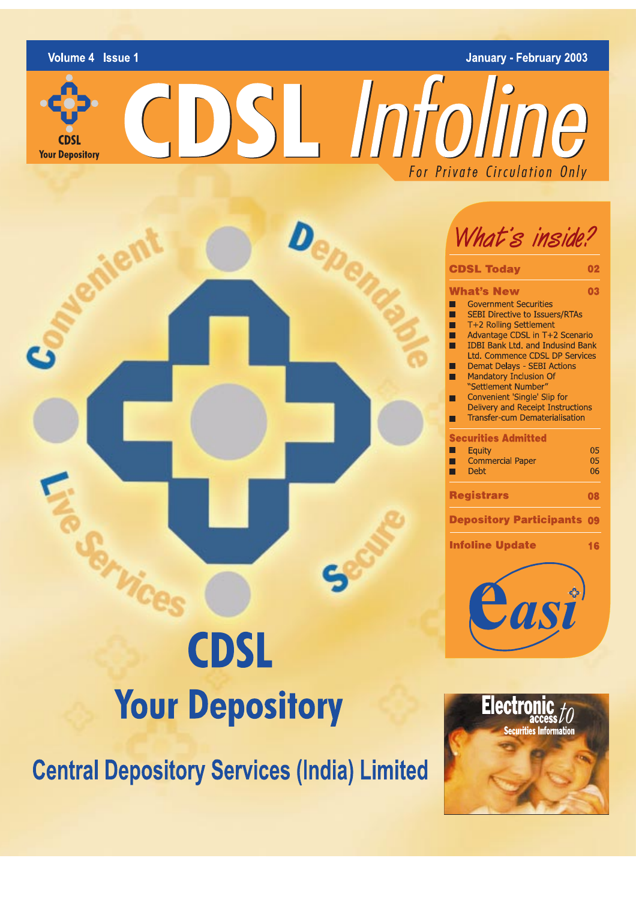

rna **Your Depository**  **January - February 2003** 

CDSL Infoline For Private Circulation Only

# **CDSL Your Depository**

**Central Depository Services (India) Limited** 



| <b>CDSL Today</b>                                                                                                                                                                                                                                                                                                                                                                                                                                                                           | 02             |
|---------------------------------------------------------------------------------------------------------------------------------------------------------------------------------------------------------------------------------------------------------------------------------------------------------------------------------------------------------------------------------------------------------------------------------------------------------------------------------------------|----------------|
| <b>What's New</b>                                                                                                                                                                                                                                                                                                                                                                                                                                                                           | 03             |
| <b>Government Securities</b><br><b>SEBI Directive to Issuers/RTAs</b><br>Ξ<br>Г<br>T+2 Rolling Settlement<br>Advantage CDSL in T+2 Scenario<br>т<br><b>IDBI Bank Ltd. and Indusind Bank</b><br>Τ<br><b>Ltd. Commence CDSL DP Services</b><br><b>Demat Delays - SEBI Actions</b><br><b>Service Service</b><br><b>Mandatory Inclusion Of</b><br>"Settlement Number"<br>Convenient 'Single' Slip for<br><b>Delivery and Receipt Instructions</b><br><b>Transfer-cum Dematerialisation</b><br>Τ |                |
| <b>Securities Admitted</b>                                                                                                                                                                                                                                                                                                                                                                                                                                                                  |                |
| Equity<br><b>Commercial Paper</b><br><b>Service Service</b><br>۰<br><b>Debt</b>                                                                                                                                                                                                                                                                                                                                                                                                             | 05<br>05<br>06 |
| <b>Registrars</b>                                                                                                                                                                                                                                                                                                                                                                                                                                                                           | 08             |
| <b>Depository Participants</b>                                                                                                                                                                                                                                                                                                                                                                                                                                                              | 09             |
| <b>Infoline Update</b>                                                                                                                                                                                                                                                                                                                                                                                                                                                                      | 16             |
|                                                                                                                                                                                                                                                                                                                                                                                                                                                                                             |                |



**VLAY**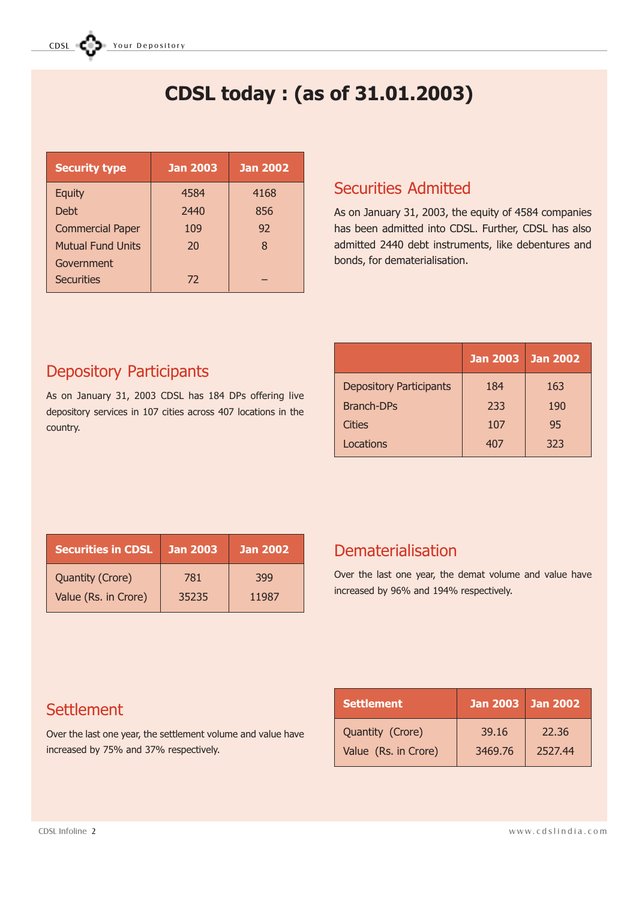# CDSL today : (as of 31.01.2003)

| <b>Security type</b>     | <b>Jan 2003</b> | <b>Jan 2002</b> |
|--------------------------|-----------------|-----------------|
| <b>Equity</b>            | 4584            | 4168            |
| <b>Debt</b>              | 2440            | 856             |
| <b>Commercial Paper</b>  | 109             | 92              |
| <b>Mutual Fund Units</b> | 20              | 8               |
| Government               |                 |                 |
| Securities               | 72              |                 |

# Securities Admitted

As on January 31, 2003, the equity of 4584 companies has been admitted into CDSL. Further, CDSL has also admitted 2440 debt instruments, like debentures and bonds, for dematerialisation.

# Depository Participants

As on January 31, 2003 CDSL has 184 DPs offering live depository services in 107 cities across 407 locations in the country.

|                                | <b>Jan 2003</b> | <b>Jan 2002</b> |
|--------------------------------|-----------------|-----------------|
| <b>Depository Participants</b> | 184             | 163             |
| <b>Branch-DPs</b>              | 233             | 190             |
| Cities                         | 107             | 95              |
| Locations                      | 407             | 323             |

| <b>Securities in CDSL</b> | <u>'Jan 2003,</u> | <b>Jan 2002</b> |
|---------------------------|-------------------|-----------------|
| <b>Quantity (Crore)</b>   | 781               | 399             |
| Value (Rs. in Crore)      | 35235             | 11987           |

# Dematerialisation

Over the last one year, the demat volume and value have increased by 96% and 194% respectively.

| <b>Settlement</b>    | Jan 2003 <b>Jan 2002</b> |         |
|----------------------|--------------------------|---------|
| Quantity (Crore)     | 39.16                    | 22.36   |
| Value (Rs. in Crore) | 3469.76                  | 2527.44 |

# **Settlement**

Over the last one year, the settlement volume and value have increased by 75% and 37% respectively.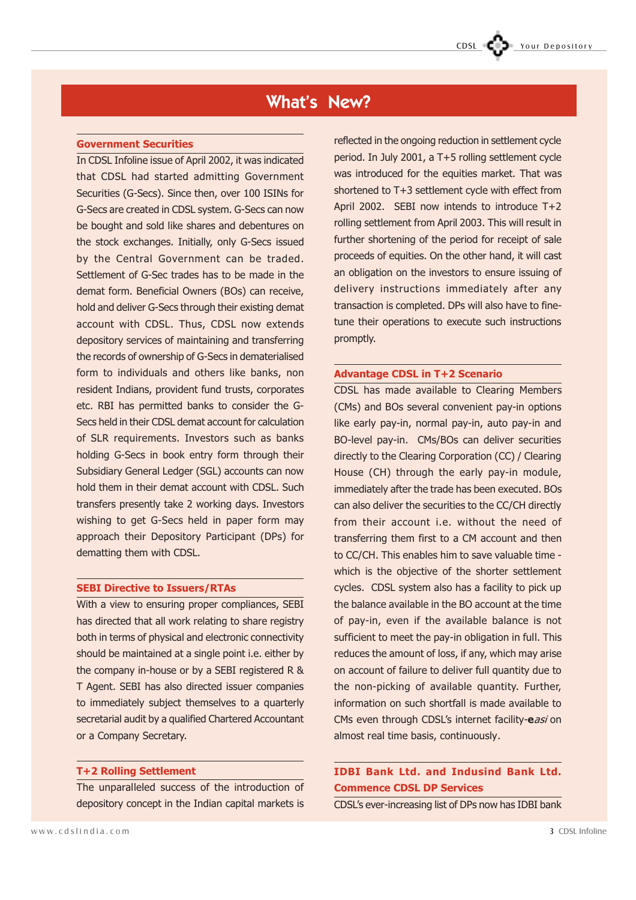# What's New?

#### Government Securities

In CDSL Infoline issue of April 2002, it was indicated that CDSL had started admitting Government Securities (G-Secs). Since then, over 100 ISINs for G-Secs are created in CDSL system. G-Secs can now be bought and sold like shares and debentures on the stock exchanges. Initially, only G-Secs issued by the Central Government can be traded. Settlement of G-Sec trades has to be made in the demat form. Beneficial Owners (BOs) can receive, hold and deliver G-Secs through their existing demat account with CDSL. Thus, CDSL now extends depository services of maintaining and transferring the records of ownership of G-Secs in dematerialised form to individuals and others like banks, non resident Indians, provident fund trusts, corporates etc. RBI has permitted banks to consider the G-Secs held in their CDSL demat account for calculation of SLR requirements. Investors such as banks holding G-Secs in book entry form through their Subsidiary General Ledger (SGL) accounts can now hold them in their demat account with CDSL. Such transfers presently take 2 working days. Investors wishing to get G-Secs held in paper form may approach their Depository Participant (DPs) for dematting them with CDSL.

#### SEBI Directive to Issuers/RTAs

With a view to ensuring proper compliances, SEBI has directed that all work relating to share registry both in terms of physical and electronic connectivity should be maintained at a single point i.e. either by the company in-house or by a SEBI registered R & T Agent. SEBI has also directed issuer companies to immediately subject themselves to a quarterly secretarial audit by a qualified Chartered Accountant or a Company Secretary.

#### T+2 Rolling Settlement

The unparalleled success of the introduction of depository concept in the Indian capital markets is

reflected in the ongoing reduction in settlement cycle period. In July 2001, a T+5 rolling settlement cycle was introduced for the equities market. That was shortened to T+3 settlement cycle with effect from April 2002. SEBI now intends to introduce T+2 rolling settlement from April 2003. This will result in further shortening of the period for receipt of sale proceeds of equities. On the other hand, it will cast an obligation on the investors to ensure issuing of delivery instructions immediately after any transaction is completed. DPs will also have to finetune their operations to execute such instructions promptly.

#### Advantage CDSL in T+2 Scenario

CDSL has made available to Clearing Members (CMs) and BOs several convenient pay-in options like early pay-in, normal pay-in, auto pay-in and BO-level pay-in. CMs/BOs can deliver securities directly to the Clearing Corporation (CC) / Clearing House (CH) through the early pay-in module, immediately after the trade has been executed. BOs can also deliver the securities to the CC/CH directly from their account i.e. without the need of transferring them first to a CM account and then to CC/CH. This enables him to save valuable time which is the objective of the shorter settlement cycles. CDSL system also has a facility to pick up the balance available in the BO account at the time of pay-in, even if the available balance is not sufficient to meet the pay-in obligation in full. This reduces the amount of loss, if any, which may arise on account of failure to deliver full quantity due to the non-picking of available quantity. Further, information on such shortfall is made available to CMs even through CDSL's internet facility-easi on almost real time basis, continuously.

### IDBI Bank Ltd. and Indusind Bank Ltd. Commence CDSL DP Services

CDSL's ever-increasing list of DPs now has IDBI bank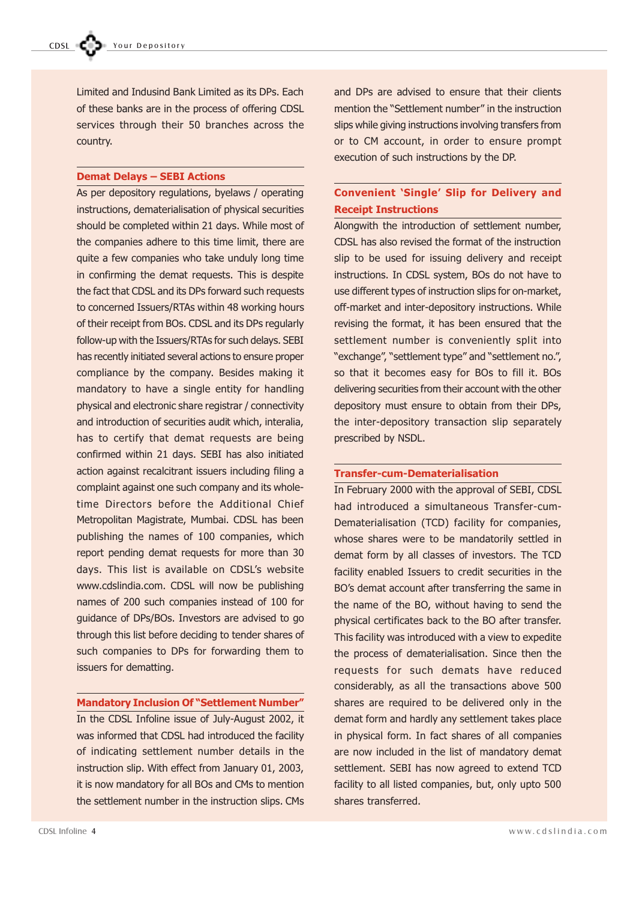Limited and Indusind Bank Limited as its DPs. Each of these banks are in the process of offering CDSL services through their 50 branches across the country.

#### **Demat Delays - SEBI Actions**

As per depository regulations, byelaws / operating instructions, dematerialisation of physical securities should be completed within 21 days. While most of the companies adhere to this time limit, there are quite a few companies who take unduly long time in confirming the demat requests. This is despite the fact that CDSL and its DPs forward such requests to concerned Issuers/RTAs within 48 working hours of their receipt from BOs. CDSL and its DPs regularly follow-up with the Issuers/RTAs for such delays. SEBI has recently initiated several actions to ensure proper compliance by the company. Besides making it mandatory to have a single entity for handling physical and electronic share registrar / connectivity and introduction of securities audit which, interalia, has to certify that demat requests are being confirmed within 21 days. SEBI has also initiated action against recalcitrant issuers including filing a complaint against one such company and its wholetime Directors before the Additional Chief Metropolitan Magistrate, Mumbai. CDSL has been publishing the names of 100 companies, which report pending demat requests for more than 30 days. This list is available on CDSL's website www.cdslindia.com. CDSL will now be publishing names of 200 such companies instead of 100 for guidance of DPs/BOs. Investors are advised to go through this list before deciding to tender shares of such companies to DPs for forwarding them to issuers for dematting.

#### **Mandatory Inclusion Of "Settlement Number"**

In the CDSL Infoline issue of July-August 2002, it was informed that CDSL had introduced the facility of indicating settlement number details in the instruction slip. With effect from January 01, 2003, it is now mandatory for all BOs and CMs to mention the settlement number in the instruction slips. CMs and DPs are advised to ensure that their clients mention the "Settlement number" in the instruction slips while giving instructions involving transfers from or to CM account, in order to ensure prompt execution of such instructions by the DP.

## Convenient 'Single' Slip for Delivery and Receipt Instructions

Alongwith the introduction of settlement number, CDSL has also revised the format of the instruction slip to be used for issuing delivery and receipt instructions. In CDSL system, BOs do not have to use different types of instruction slips for on-market, off-market and inter-depository instructions. While revising the format, it has been ensured that the settlement number is conveniently split into "exchange", "settlement type" and "settlement no.", so that it becomes easy for BOs to fill it. BOs delivering securities from their account with the other depository must ensure to obtain from their DPs, the inter-depository transaction slip separately prescribed by NSDL.

#### Transfer-cum-Dematerialisation

In February 2000 with the approval of SEBI, CDSL had introduced a simultaneous Transfer-cum-Dematerialisation (TCD) facility for companies, whose shares were to be mandatorily settled in demat form by all classes of investors. The TCD facility enabled Issuers to credit securities in the BO's demat account after transferring the same in the name of the BO, without having to send the physical certificates back to the BO after transfer. This facility was introduced with a view to expedite the process of dematerialisation. Since then the requests for such demats have reduced considerably, as all the transactions above 500 shares are required to be delivered only in the demat form and hardly any settlement takes place in physical form. In fact shares of all companies are now included in the list of mandatory demat settlement. SEBI has now agreed to extend TCD facility to all listed companies, but, only upto 500 shares transferred.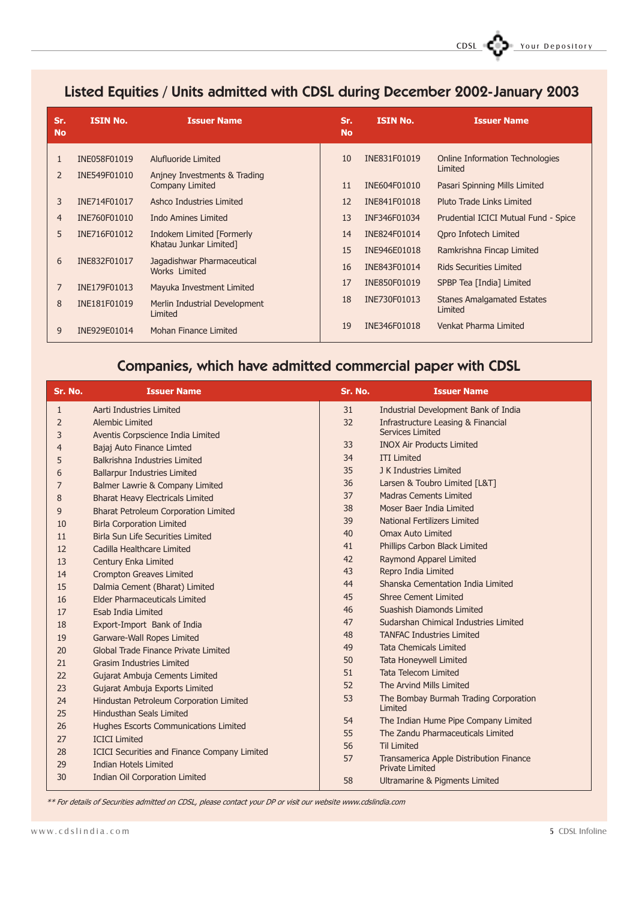# Listed Equities / Units admitted with CDSL during December 2002-January 2003

| Sr.<br><b>No</b> | <b>ISIN No.</b> | <b>Issuer Name</b>                                     | Sr.<br><b>No</b> | <b>ISIN No.</b> | <b>Issuer Name</b>                                |
|------------------|-----------------|--------------------------------------------------------|------------------|-----------------|---------------------------------------------------|
| 1                | INE058F01019    | Alufluoride Limited                                    | 10               | INE831F01019    | <b>Online Information Technologies</b><br>Limited |
| $\overline{2}$   | INE549F01010    | Anjney Investments & Trading<br><b>Company Limited</b> | 11               | INE604F01010    | Pasari Spinning Mills Limited                     |
| 3                | INE714F01017    | Ashco Industries Limited                               | 12               | INE841F01018    | Pluto Trade Links Limited                         |
| 4                | INE760F01010    | Indo Amines Limited                                    | 13               | INF346F01034    | Prudential ICICI Mutual Fund - Spice              |
| 5                | INE716F01012    | <b>Indokem Limited [Formerly</b>                       | 14               | INE824F01014    | Opro Infotech Limited                             |
|                  |                 | Khatau Junkar Limited]                                 | 15               | INE946E01018    | Ramkrishna Fincap Limited                         |
| 6                | INE832F01017    | Jagadishwar Pharmaceutical<br>Works Limited            | 16               | INE843F01014    | <b>Rids Securities Limited</b>                    |
| 7                | INE179F01013    | Mayuka Investment Limited                              | 17               | INE850F01019    | SPBP Tea [India] Limited                          |
| 8                | INE181F01019    | Merlin Industrial Development<br>Limited               | 18               | INE730F01013    | <b>Stanes Amalgamated Estates</b><br>Limited      |
| 9                | INE929E01014    | Mohan Finance Limited                                  | 19               | INE346F01018    | Venkat Pharma Limited                             |

# Companies, which have admitted commercial paper with CDSL

| Sr. No.      | <b>Issuer Name</b>                                                                  | Sr. No. | <b>Issuer Name</b>                                                |
|--------------|-------------------------------------------------------------------------------------|---------|-------------------------------------------------------------------|
| $\mathbf{1}$ | Aarti Industries Limited                                                            | 31      | Industrial Development Bank of India                              |
| 2            | <b>Alembic Limited</b>                                                              | 32      | Infrastructure Leasing & Financial                                |
| 3            | Aventis Corpscience India Limited                                                   |         | <b>Services Limited</b>                                           |
| 4            | Bajaj Auto Finance Limted                                                           | 33      | <b>INOX Air Products Limited</b>                                  |
| 5            | Balkrishna Industries Limited                                                       | 34      | <b>ITI Limited</b>                                                |
| 6            | <b>Ballarpur Industries Limited</b>                                                 | 35      | J K Industries Limited                                            |
| 7            | Balmer Lawrie & Company Limited                                                     | 36      | Larsen & Toubro Limited [L&T]                                     |
| 8            | <b>Bharat Heavy Electricals Limited</b>                                             | 37      | <b>Madras Cements Limited</b>                                     |
| 9            | <b>Bharat Petroleum Corporation Limited</b>                                         | 38      | Moser Baer India Limited                                          |
| 10           | <b>Birla Corporation Limited</b>                                                    | 39      | National Fertilizers Limited                                      |
| 11           | <b>Birla Sun Life Securities Limited</b>                                            | 40      | <b>Omax Auto Limited</b>                                          |
| 12           | Cadilla Healthcare Limited                                                          | 41      | Phillips Carbon Black Limited                                     |
| 13           | Century Enka Limited                                                                | 42      | Raymond Apparel Limited                                           |
| 14           | <b>Crompton Greaves Limited</b>                                                     | 43      | Repro India Limited                                               |
| 15           | Dalmia Cement (Bharat) Limited                                                      | 44      | Shanska Cementation India Limited                                 |
| 16           | <b>Elder Pharmaceuticals Limited</b>                                                | 45      | <b>Shree Cement Limited</b>                                       |
| 17           | Esab India Limited                                                                  | 46      | Suashish Diamonds Limited                                         |
| 18           | Export-Import Bank of India                                                         | 47      | Sudarshan Chimical Industries Limited                             |
| 19           | Garware-Wall Ropes Limited                                                          | 48      | <b>TANFAC Industries Limited</b>                                  |
| 20           | Global Trade Finance Private Limited                                                | 49      | <b>Tata Chemicals Limited</b>                                     |
| 21           | <b>Grasim Industries Limited</b>                                                    | 50      | <b>Tata Honeywell Limited</b>                                     |
| 22           | Gujarat Ambuja Cements Limited                                                      | 51      | <b>Tata Telecom Limited</b>                                       |
| 23           | Gujarat Ambuja Exports Limited                                                      | 52      | The Arvind Mills Limited                                          |
| 24           | Hindustan Petroleum Corporation Limited                                             | 53      | The Bombay Burmah Trading Corporation<br>Limited                  |
| 25           | <b>Hindusthan Seals Limited</b>                                                     | 54      | The Indian Hume Pipe Company Limited                              |
| 26           | Hughes Escorts Communications Limited                                               | 55      | The Zandu Pharmaceuticals Limited                                 |
| 27           | <b>ICICI Limited</b>                                                                | 56      | <b>Til Limited</b>                                                |
| 28<br>29     | <b>ICICI Securities and Finance Company Limited</b><br><b>Indian Hotels Limited</b> | 57      | Transamerica Apple Distribution Finance<br><b>Private Limited</b> |
| 30           | <b>Indian Oil Corporation Limited</b>                                               | 58      | Ultramarine & Pigments Limited                                    |

\*\* For details of Securities admitted on CDSL, please contact your DP or visit our website www.cdslindia.com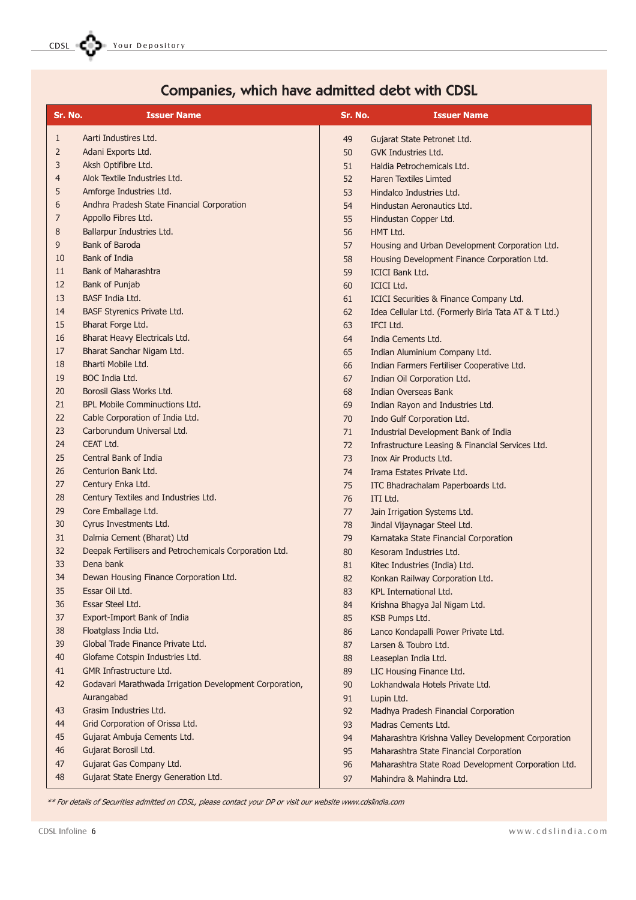CDSL COSL Your Depository

# Companies, which have admitted debt with CDSL

| Sr. No.      | <b>Issuer Name</b>                                      | Sr. No. | <b>Issuer Name</b>                                   |
|--------------|---------------------------------------------------------|---------|------------------------------------------------------|
| $\mathbf{1}$ | Aarti Industires Ltd.                                   | 49      | Gujarat State Petronet Ltd.                          |
| 2            | Adani Exports Ltd.                                      | 50      | GVK Industries Ltd.                                  |
| 3            | Aksh Optifibre Ltd.                                     | 51      | Haldia Petrochemicals Ltd.                           |
| 4            | Alok Textile Industries Ltd.                            | 52      | <b>Haren Textiles Limted</b>                         |
| 5            | Amforge Industries Ltd.                                 | 53      | Hindalco Industries Ltd.                             |
| 6            | Andhra Pradesh State Financial Corporation              | 54      | Hindustan Aeronautics Ltd.                           |
| 7            | Appollo Fibres Ltd.                                     | 55      | Hindustan Copper Ltd.                                |
| 8            | Ballarpur Industries Ltd.                               | 56      | HMT Ltd.                                             |
| 9            | Bank of Baroda                                          | 57      | Housing and Urban Development Corporation Ltd.       |
| 10           | Bank of India                                           | 58      | Housing Development Finance Corporation Ltd.         |
| 11           | <b>Bank of Maharashtra</b>                              | 59      | <b>ICICI Bank Ltd.</b>                               |
| 12           | Bank of Punjab                                          | 60      | <b>ICICI Ltd.</b>                                    |
| 13           | BASF India Ltd.                                         | 61      | ICICI Securities & Finance Company Ltd.              |
| 14           | <b>BASF Styrenics Private Ltd.</b>                      | 62      | Idea Cellular Ltd. (Formerly Birla Tata AT & T Ltd.) |
| 15           | Bharat Forge Ltd.                                       | 63      | IFCI Ltd.                                            |
| 16           | Bharat Heavy Electricals Ltd.                           | 64      | India Cements Ltd.                                   |
| 17           | Bharat Sanchar Nigam Ltd.                               | 65      | Indian Aluminium Company Ltd.                        |
| 18           | Bharti Mobile Ltd.                                      | 66      | Indian Farmers Fertiliser Cooperative Ltd.           |
| 19           | BOC India Ltd.                                          | 67      | Indian Oil Corporation Ltd.                          |
| 20           | Borosil Glass Works Ltd.                                | 68      | Indian Overseas Bank                                 |
| 21           | <b>BPL Mobile Comminuctions Ltd.</b>                    | 69      | Indian Rayon and Industries Ltd.                     |
| 22           | Cable Corporation of India Ltd.                         | 70      | Indo Gulf Corporation Ltd.                           |
| 23           | Carborundum Universal Ltd.                              | 71      | Industrial Development Bank of India                 |
| 24           | CEAT Ltd.                                               | 72      | Infrastructure Leasing & Financial Services Ltd.     |
| 25           | Central Bank of India                                   | 73      | Inox Air Products Ltd.                               |
| 26           | Centurion Bank Ltd.                                     | 74      | Irama Estates Private Ltd.                           |
| 27           | Century Enka Ltd.                                       | 75      | ITC Bhadrachalam Paperboards Ltd.                    |
| 28           | Century Textiles and Industries Ltd.                    | 76      | ITI Ltd.                                             |
| 29           | Core Emballage Ltd.                                     | 77      | Jain Irrigation Systems Ltd.                         |
| 30           | Cyrus Investments Ltd.                                  | 78      | Jindal Vijaynagar Steel Ltd.                         |
| 31           | Dalmia Cement (Bharat) Ltd                              | 79      | Karnataka State Financial Corporation                |
| 32           | Deepak Fertilisers and Petrochemicals Corporation Ltd.  | 80      | Kesoram Industries Ltd.                              |
| 33           | Dena bank                                               | 81      | Kitec Industries (India) Ltd.                        |
| 34           | Dewan Housing Finance Corporation Ltd.                  | 82      | Konkan Railway Corporation Ltd.                      |
| 35           | Essar Oil Ltd.                                          | 83      | KPL International Ltd.                               |
| 36           | Essar Steel Ltd.                                        | 84      | Krishna Bhagya Jal Nigam Ltd.                        |
| 37           | Export-Import Bank of India                             | 85      | <b>KSB Pumps Ltd.</b>                                |
| 38           | Floatglass India Ltd.                                   | 86      | Lanco Kondapalli Power Private Ltd.                  |
| 39           | Global Trade Finance Private Ltd.                       | 87      | Larsen & Toubro Ltd.                                 |
| 40           | Glofame Cotspin Industries Ltd.                         | 88      | Leaseplan India Ltd.                                 |
| 41           | <b>GMR Infrastructure Ltd.</b>                          | 89      | LIC Housing Finance Ltd.                             |
| 42           | Godavari Marathwada Irrigation Development Corporation, | 90      | Lokhandwala Hotels Private Ltd.                      |
|              | Aurangabad                                              | 91      | Lupin Ltd.                                           |
| 43           | Grasim Industries Ltd.                                  | 92      | Madhya Pradesh Financial Corporation                 |
| 44           | Grid Corporation of Orissa Ltd.                         | 93      | Madras Cements Ltd.                                  |
| 45           | Gujarat Ambuja Cements Ltd.                             | 94      | Maharashtra Krishna Valley Development Corporation   |
| 46           | Gujarat Borosil Ltd.                                    | 95      | Maharashtra State Financial Corporation              |
| 47           | Gujarat Gas Company Ltd.                                | 96      | Maharashtra State Road Development Corporation Ltd.  |
| 48           | Gujarat State Energy Generation Ltd.                    | 97      | Mahindra & Mahindra Ltd.                             |

\*\* For details of Securities admitted on CDSL, please contact your DP or visit our website www.cdslindia.com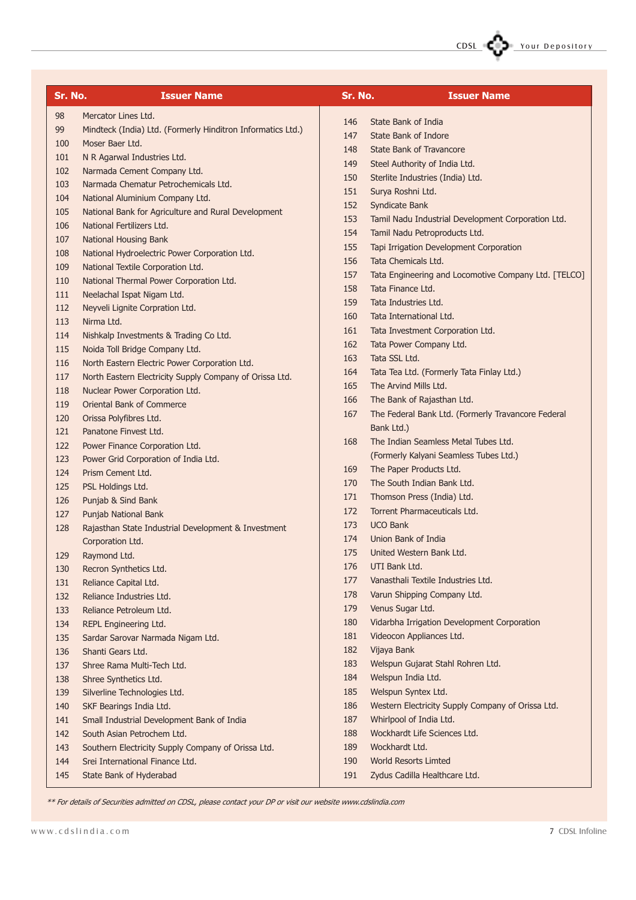

| Sr. No. | <b>Issuer Name</b>                                          | Sr. No. | <b>Issuer Name</b>                                   |
|---------|-------------------------------------------------------------|---------|------------------------------------------------------|
| 98      | Mercator Lines Ltd.                                         |         | State Bank of India                                  |
| 99      | Mindteck (India) Ltd. (Formerly Hinditron Informatics Ltd.) | 146     |                                                      |
| 100     | Moser Baer Ltd.                                             | 147     | State Bank of Indore                                 |
| 101     | N R Agarwal Industries Ltd.                                 | 148     | <b>State Bank of Travancore</b>                      |
| 102     | Narmada Cement Company Ltd.                                 | 149     | Steel Authority of India Ltd.                        |
| 103     | Narmada Chematur Petrochemicals Ltd.                        | 150     | Sterlite Industries (India) Ltd.                     |
| 104     | National Aluminium Company Ltd.                             | 151     | Surya Roshni Ltd.                                    |
| 105     | National Bank for Agriculture and Rural Development         | 152     | Syndicate Bank                                       |
| 106     | National Fertilizers Ltd.                                   | 153     | Tamil Nadu Industrial Development Corporation Ltd.   |
| 107     | National Housing Bank                                       | 154     | Tamil Nadu Petroproducts Ltd.                        |
| 108     | National Hydroelectric Power Corporation Ltd.               | 155     | Tapi Irrigation Development Corporation              |
| 109     | National Textile Corporation Ltd.                           | 156     | Tata Chemicals Ltd.                                  |
| 110     | National Thermal Power Corporation Ltd.                     | 157     | Tata Engineering and Locomotive Company Ltd. [TELCO] |
| 111     | Neelachal Ispat Nigam Ltd.                                  | 158     | Tata Finance Ltd.                                    |
| 112     | Neyveli Lignite Corpration Ltd.                             | 159     | Tata Industries Ltd.                                 |
| 113     | Nirma Ltd.                                                  | 160     | Tata International Ltd.                              |
| 114     | Nishkalp Investments & Trading Co Ltd.                      | 161     | Tata Investment Corporation Ltd.                     |
| 115     | Noida Toll Bridge Company Ltd.                              | 162     | Tata Power Company Ltd.                              |
| 116     | North Eastern Electric Power Corporation Ltd.               | 163     | Tata SSL Ltd.                                        |
| 117     | North Eastern Electricity Supply Company of Orissa Ltd.     | 164     | Tata Tea Ltd. (Formerly Tata Finlay Ltd.)            |
| 118     | Nuclear Power Corporation Ltd.                              | 165     | The Arvind Mills Ltd.                                |
| 119     | <b>Oriental Bank of Commerce</b>                            | 166     | The Bank of Rajasthan Ltd.                           |
| 120     | Orissa Polyfibres Ltd.                                      | 167     | The Federal Bank Ltd. (Formerly Travancore Federal   |
| 121     | Panatone Finyest Ltd.                                       |         | Bank Ltd.)                                           |
| 122     | Power Finance Corporation Ltd.                              | 168     | The Indian Seamless Metal Tubes Ltd.                 |
| 123     | Power Grid Corporation of India Ltd.                        |         | (Formerly Kalyani Seamless Tubes Ltd.)               |
| 124     | Prism Cement Ltd.                                           | 169     | The Paper Products Ltd.                              |
| 125     | PSL Holdings Ltd.                                           | 170     | The South Indian Bank Ltd.                           |
| 126     | Punjab & Sind Bank                                          | 171     | Thomson Press (India) Ltd.                           |
| 127     | Punjab National Bank                                        | 172     | Torrent Pharmaceuticals Ltd.                         |
| 128     | Rajasthan State Industrial Development & Investment         | 173     | <b>UCO Bank</b>                                      |
|         | Corporation Ltd.                                            | 174     | Union Bank of India                                  |
| 129     | Raymond Ltd.                                                | 175     | United Western Bank Ltd.                             |
| 130     | Recron Synthetics Ltd.                                      | 176     | UTI Bank Ltd.                                        |
| 131     | Reliance Capital Ltd.                                       | 177     | Vanasthali Textile Industries Ltd.                   |
| 132     | Reliance Industries Ltd.                                    | 178     | Varun Shipping Company Ltd.                          |
| 133     | Reliance Petroleum Ltd.                                     | 179     | Venus Sugar Ltd.                                     |
| 134     | REPL Engineering Ltd.                                       | 180     | Vidarbha Irrigation Development Corporation          |
| 135     | Sardar Sarovar Narmada Nigam Ltd.                           | 181     | Videocon Appliances Ltd.                             |
| 136     | Shanti Gears Ltd.                                           | 182     | Vijaya Bank                                          |
| 137     | Shree Rama Multi-Tech Ltd.                                  | 183     | Welspun Gujarat Stahl Rohren Ltd.                    |
| 138     | Shree Synthetics Ltd.                                       | 184     | Welspun India Ltd.                                   |
| 139     | Silverline Technologies Ltd.                                | 185     | Welspun Syntex Ltd.                                  |
| 140     | SKF Bearings India Ltd.                                     | 186     | Western Electricity Supply Company of Orissa Ltd.    |
| 141     | Small Industrial Development Bank of India                  | 187     | Whirlpool of India Ltd.                              |
| 142     | South Asian Petrochem Ltd.                                  | 188     | Wockhardt Life Sciences Ltd.                         |
| 143     | Southern Electricity Supply Company of Orissa Ltd.          | 189     | Wockhardt Ltd.                                       |
| 144     | Srei International Finance Ltd.                             | 190     | <b>World Resorts Limted</b>                          |
| 145     | State Bank of Hyderabad                                     | 191     | Zydus Cadilla Healthcare Ltd.                        |

\*\* For details of Securities admitted on CDSL, please contact your DP or visit our website www.cdslindia.com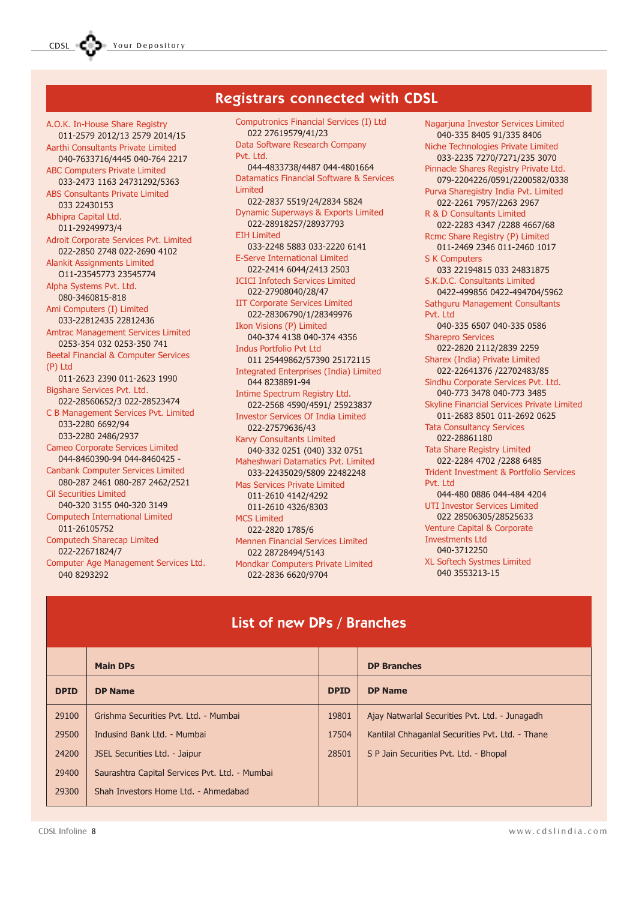# Registrars connected with CDSL

A.O.K. In-House Share Registry 011-2579 2012/13 2579 2014/15 Aarthi Consultants Private Limited 040-7633716/4445 040-764 2217 ABC Computers Private Limited 033-2473 1163 24731292/5363 ABS Consultants Private Limited 033 22430153 Abhipra Capital Ltd. 011-29249973/4 Adroit Corporate Services Pvt. Limited 022-2850 2748 022-2690 4102 Alankit Assignments Limited O11-23545773 23545774 Alpha Systems Pvt. Ltd. 080-3460815-818 Ami Computers (I) Limited 033-22812435 22812436 Amtrac Management Services Limited 0253-354 032 0253-350 741 Beetal Financial & Computer Services (P) Ltd 011-2623 2390 011-2623 1990 Bigshare Services Pvt. Ltd. 022-28560652/3 022-28523474 C B Management Services Pvt. Limited 033-2280 6692/94 033-2280 2486/2937 Cameo Corporate Services Limited 044-8460390-94 044-8460425 - Canbank Computer Services Limited 080-287 2461 080-287 2462/2521 Cil Securities Limited 040-320 3155 040-320 3149 Computech International Limited 011-26105752 Computech Sharecap Limited 022-22671824/7 Computer Age Management Services Ltd. 040 8293292

Computronics Financial Services (I) Ltd 022 27619579/41/23 Data Software Research Company Pvt. Ltd. 044-4833738/4487 044-4801664 Datamatics Financial Software & Services Limited 022-2837 5519/24/2834 5824 Dynamic Superways & Exports Limited 022-28918257/28937793 EIH Limited 033-2248 5883 033-2220 6141 E-Serve International Limited 022-2414 6044/2413 2503 ICICI Infotech Services Limited 022-27908040/28/47 IIT Corporate Services Limited 022-28306790/1/28349976 Ikon Visions (P) Limited 040-374 4138 040-374 4356 Indus Portfolio Pvt Ltd 011 25449862/57390 25172115 Integrated Enterprises (India) Limited 044 8238891-94 Intime Spectrum Registry Ltd. 022-2568 4590/4591/ 25923837 Investor Services Of India Limited 022-27579636/43 Karvy Consultants Limited 040-332 0251 (040) 332 0751 Maheshwari Datamatics Pvt. Limited 033-22435029/5809 22482248 Mas Services Private Limited 011-2610 4142/4292 011-2610 4326/8303 MCS Limited 022-2820 1785/6 Mennen Financial Services Limited 022 28728494/5143 Mondkar Computers Private Limited 022-2836 6620/9704

Nagarjuna Investor Services Limited 040-335 8405 91/335 8406 Niche Technologies Private Limited 033-2235 7270/7271/235 3070 Pinnacle Shares Registry Private Ltd. 079-2204226/0591/2200582/0338 Purva Sharegistry India Pvt. Limited 022-2261 7957/2263 2967 R & D Consultants Limited 022-2283 4347 /2288 4667/68 Rcmc Share Registry (P) Limited 011-2469 2346 011-2460 1017 S K Computers 033 22194815 033 24831875 S.K.D.C. Consultants Limited 0422-499856 0422-494704/5962 Sathguru Management Consultants Pvt. Ltd. 040-335 6507 040-335 0586 Sharepro Services 022-2820 2112/2839 2259 Sharex (India) Private Limited 022-22641376 /22702483/85 Sindhu Corporate Services Pvt. Ltd. 040-773 3478 040-773 3485 Skyline Financial Services Private Limited 011-2683 8501 011-2692 0625 Tata Consultancy Services 022-28861180 Tata Share Registry Limited 022-2284 4702 /2288 6485 Trident Investment & Portfolio Services Pvt. Ltd 044-480 0886 044-484 4204 UTI Investor Services Limited 022 28506305/28525633 Venture Capital & Corporate Investments Ltd 040-3712250 XL Softech Systmes Limited 040 3553213-15

# List of new DPs / Branches

|             | <b>Main DPs</b>                                |             | <b>DP Branches</b>                               |
|-------------|------------------------------------------------|-------------|--------------------------------------------------|
| <b>DPID</b> | <b>DP Name</b>                                 | <b>DPID</b> | <b>DP Name</b>                                   |
| 29100       | Grishma Securities Pvt. Ltd. - Mumbai          | 19801       | Ajay Natwarlal Securities Pvt. Ltd. - Junagadh   |
| 29500       | Indusind Bank Ltd. - Mumbai                    | 17504       | Kantilal Chhaganlal Securities Pvt. Ltd. - Thane |
| 24200       | JSEL Securities Ltd. - Jaipur                  | 28501       | S P Jain Securities Pvt. Ltd. - Bhopal           |
| 29400       | Saurashtra Capital Services Pvt. Ltd. - Mumbai |             |                                                  |
| 29300       | Shah Investors Home Ltd. - Ahmedabad           |             |                                                  |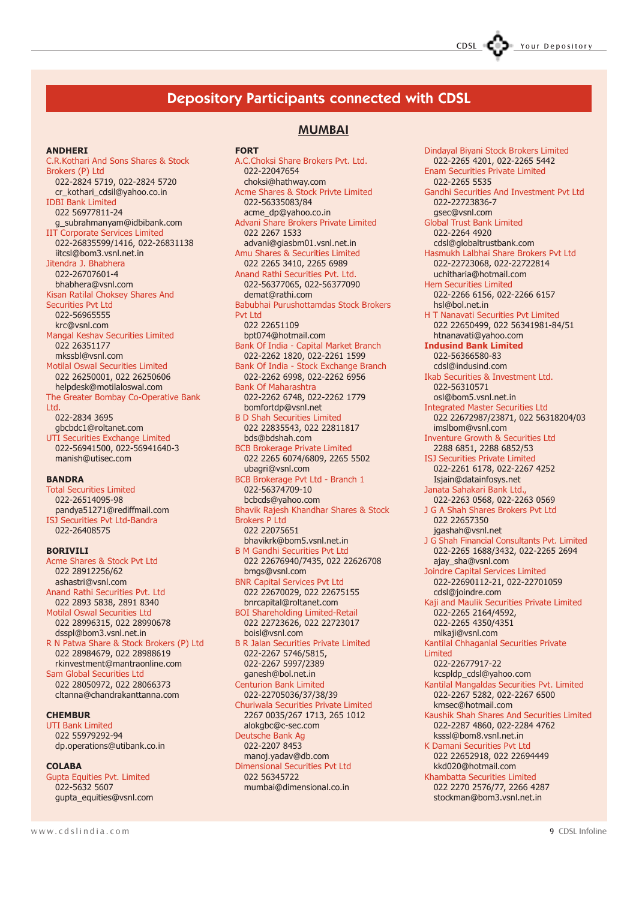# Depository Participants connected with CDSL

#### ANDHERI

C.R.Kothari And Sons Shares & Stock Brokers (P) Ltd 022-2824 5719, 022-2824 5720 cr\_kothari\_cdsil@yahoo.co.in IDBI Bank Limited 022 56977811-24 g\_subrahmanyam@idbibank.com IIT Corporate Services Limited 022-26835599/1416, 022-26831138 iitcsl@bom3.vsnl.net.in Jitendra J. Bhabhera 022-26707601-4 bhabhera@vsnl.com Kisan Ratilal Choksey Shares And Securities Pvt Ltd 022-56965555 krc@vsnl.com Mangal Keshav Securities Limited 022 26351177 mkssbl@vsnl.com Motilal Oswal Securities Limited 022 26250001, 022 26250606 helpdesk@motilaloswal.com The Greater Bombay Co-Operative Bank Ltd. 022-2834 3695 gbcbdc1@roltanet.com UTI Securities Exchange Limited 022-56941500, 022-56941640-3 manish@utisec.com

#### BANDRA

Total Securities Limited 022-26514095-98 pandya51271@rediffmail.com ISJ Securities Pvt Ltd-Bandra 022-26408575

#### BORIVILI

Acme Shares & Stock Pvt Ltd 022 28912256/62 ashastri@vsnl.com Anand Rathi Securities Pvt. Ltd 022 2893 5838, 2891 8340 Motilal Oswal Securities Ltd 022 28996315, 022 28990678 dsspl@bom3.vsnl.net.in R N Patwa Share & Stock Brokers (P) Ltd

022 28984679, 022 28988619 rkinvestment@mantraonline.com Sam Global Securities Ltd

022 28050972, 022 28066373 cltanna@chandrakanttanna.com

#### **CHEMBUR**

UTI Bank Limited 022 55979292-94 dp.operations@utibank.co.in

#### COLABA

Gupta Equities Pvt. Limited 022-5632 5607 gupta\_equities@vsnl.com

MUMBAI **FORT** A.C.Choksi Share Brokers Pvt. Ltd. 022-22047654 choksi@hathway.com Acme Shares & Stock Privte Limited 022-56335083/84 acme\_dp@yahoo.co.in Advani Share Brokers Private Limited 022 2267 1533 advani@giasbm01.vsnl.net.in Amu Shares & Securities Limited 022 2265 3410, 2265 6989 Anand Rathi Securities Pvt. Ltd. 022-56377065, 022-56377090 demat@rathi.com Babubhai Purushottamdas Stock Brokers Pvt Ltd 022 22651109 bpt074@hotmail.com Bank Of India - Capital Market Branch 022-2262 1820, 022-2261 1599 Bank Of India - Stock Exchange Branch 022-2262 6998, 022-2262 6956 Bank Of Maharashtra 022-2262 6748, 022-2262 1779 bomfortdp@vsnl.net B D Shah Securities Limited 022 22835543, 022 22811817 bds@bdshah.com BCB Brokerage Private Limited 022 2265 6074/6809, 2265 5502 ubagri@vsnl.com BCB Brokerage Pvt Ltd - Branch 1 022-56374709-10 bcbcds@yahoo.com Bhavik Rajesh Khandhar Shares & Stock Brokers P Ltd 022 22075651 bhavikrk@bom5.vsnl.net.in B M Gandhi Securities Pvt Ltd 022 22676940/7435, 022 22626708 bmgs@vsnl.com BNR Capital Services Pvt Ltd 022 22670029, 022 22675155 bnrcapital@roltanet.com BOI Shareholding Limited-Retail 022 22723626, 022 22723017 boisl@vsnl.com B R Jalan Securities Private Limited

022-2267 5746/5815, 022-2267 5997/2389 ganesh@bol.net.in Centurion Bank Limited 022-22705036/37/38/39 Churiwala Securities Private Limited 2267 0035/267 1713, 265 1012 alokgbc@c-sec.com Deutsche Bank Ag 022-2207 8453 manoj.yadav@db.com Dimensional Securities Pvt Ltd 022 56345722

mumbai@dimensional.co.in

Dindayal Biyani Stock Brokers Limited 022-2265 4201, 022-2265 5442 Enam Securities Private Limited 022-2265 5535 Gandhi Securities And Investment Pvt Ltd 022-22723836-7 gsec@vsnl.com Global Trust Bank Limited 022-2264 4920 cdsl@globaltrustbank.com Hasmukh Lalbhai Share Brokers Pvt Ltd 022-22723068, 022-22722814 uchitharia@hotmail.com Hem Securities Limited 022-2266 6156, 022-2266 6157 hsl@bol.net.in H T Nanavati Securities Pvt Limited 022 22650499, 022 56341981-84/51 htnanavati@yahoo.com Indusind Bank Limited 022-56366580-83 cdsl@indusind.com Ikab Securities & Investment Ltd. 022-56310571 osl@bom5.vsnl.net.in Integrated Master Securities Ltd 022 22672987/23871, 022 56318204/03 imslbom@vsnl.com Inventure Growth & Securities Ltd 2288 6851, 2288 6852/53 ISJ Securities Private Limited 022-2261 6178, 022-2267 4252 Isjain@datainfosys.net Janata Sahakari Bank Ltd., 022-2263 0568, 022-2263 0569 J G A Shah Shares Brokers Pvt Ltd 022 22657350 jgashah@vsnl.net J G Shah Financial Consultants Pvt. Limited 022-2265 1688/3432, 022-2265 2694 ajay\_sha@vsnl.com Joindre Capital Services Limited 022-22690112-21, 022-22701059 cdsl@joindre.com Kaji and Maulik Securities Private Limited 022-2265 2164/4592, 022-2265 4350/4351 mlkaji@vsnl.com Kantilal Chhaganlal Securities Private Limited 022-22677917-22 kcspldp\_cdsl@yahoo.com Kantilal Mangaldas Securities Pvt. Limited 022-2267 5282, 022-2267 6500 kmsec@hotmail.com Kaushik Shah Shares And Securities Limited 022-2287 4860, 022-2284 4762 ksssl@bom8.vsnl.net.in K Damani Securities Pvt Ltd 022 22652918, 022 22694449 kkd020@hotmail.com Khambatta Securities Limited 022 2270 2576/77, 2266 4287

stockman@bom3.vsnl.net.in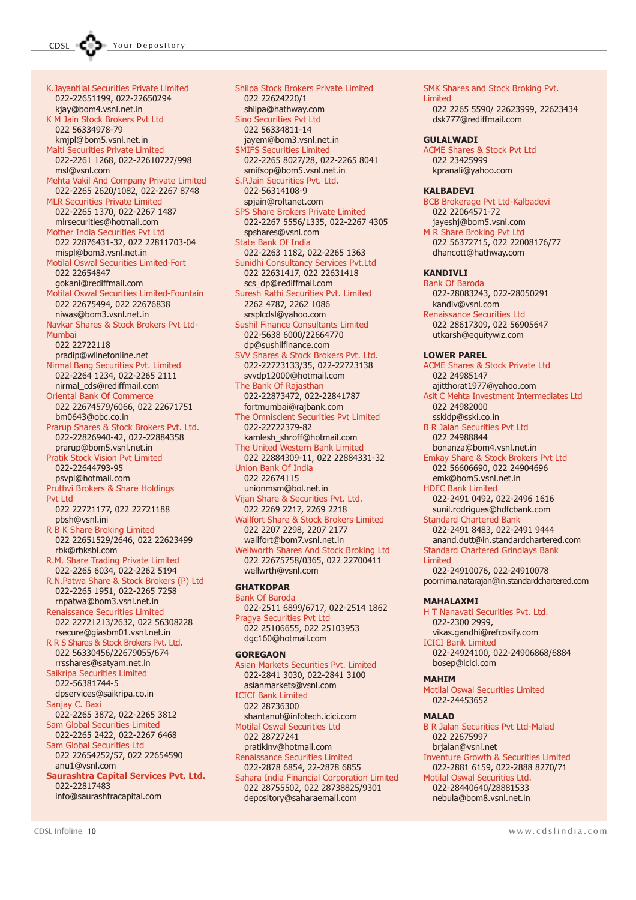K.Jayantilal Securities Private Limited 022-22651199, 022-22650294 kjay@bom4.vsnl.net.in K M Jain Stock Brokers Pvt Ltd 022 56334978-79 kmjpl@bom5.vsnl.net.in Malti Securities Private Limited 022-2261 1268, 022-22610727/998 msl@vsnl.com Mehta Vakil And Company Private Limited 022-2265 2620/1082, 022-2267 8748 MLR Securities Private Limited 022-2265 1370, 022-2267 1487 mlrsecurities@hotmail.com Mother India Securities Pvt Ltd 022 22876431-32, 022 22811703-04 mispl@bom3.vsnl.net.in Motilal Oswal Securities Limited-Fort 022 22654847 gokani@rediffmail.com Motilal Oswal Securities Limited-Fountain 022 22675494, 022 22676838 niwas@bom3.vsnl.net.in Navkar Shares & Stock Brokers Pvt Ltd-Mumbai 022 22722118 pradip@wilnetonline.net Nirmal Bang Securities Pvt. Limited 022-2264 1234, 022-2265 2111 nirmal\_cds@rediffmail.com Oriental Bank Of Commerce 022 22674579/6066, 022 22671751 bm0643@obc.co.in Prarup Shares & Stock Brokers Pvt. Ltd. 022-22826940-42, 022-22884358 prarup@bom5.vsnl.net.in Pratik Stock Vision Pvt Limited 022-22644793-95 psvpl@hotmail.com Pruthvi Brokers & Share Holdings Pvt Ltd 022 22721177, 022 22721188 pbsh@vsnl.ini R B K Share Broking Limited 022 22651529/2646, 022 22623499 rbk@rbksbl.com R.M. Share Trading Private Limited 022-2265 6034, 022-2262 5194 R.N.Patwa Share & Stock Brokers (P) Ltd 022-2265 1951, 022-2265 7258 rnpatwa@bom3.vsnl.net.in Renaissance Securities Limited 022 22721213/2632, 022 56308228 rsecure@giasbm01.vsnl.net.in R R S Shares & Stock Brokers Pvt. Ltd. 022 56330456/22679055/674 rrsshares@satyam.net.in Saikripa Securities Limited 022-56381744-5 dpservices@saikripa.co.in Sanjay C. Baxi 022-2265 3872, 022-2265 3812 Sam Global Securities Limited 022-2265 2422, 022-2267 6468 Sam Global Securities Ltd 022 22654252/57, 022 22654590 anu1@vsnl.com Saurashtra Capital Services Pvt. Ltd. 022-22817483

info@saurashtracapital.com

Shilpa Stock Brokers Private Limited 022 22624220/1 shilpa@hathway.com Sino Securities Pvt Ltd 022 56334811-14 jayem@bom3.vsnl.net.in SMIFS Securities Limited 022-2265 8027/28, 022-2265 8041 smifsop@bom5.vsnl.net.in S.P.Jain Securities Pvt. Ltd. 022-56314108-9 spjain@roltanet.com SPS Share Brokers Private Limited 022-2267 5556/1335, 022-2267 4305 spshares@vsnl.com State Bank Of India 022-2263 1182, 022-2265 1363 Sunidhi Consultancy Services Pvt.Ltd 022 22631417, 022 22631418 scs\_dp@rediffmail.com Suresh Rathi Securities Pvt. Limited 2262 4787, 2262 1086 srsplcdsl@yahoo.com Sushil Finance Consultants Limited 022-5638 6000/22664770 dp@sushilfinance.com SVV Shares & Stock Brokers Pvt. Ltd. 022-22723133/35, 022-22723138 svvdp12000@hotmail.com The Bank Of Rajasthan 022-22873472, 022-22841787 fortmumbai@rajbank.com The Omniscient Securities Pvt Limited 022-22722379-82 kamlesh\_shroff@hotmail.com The United Western Bank Limited 022 22884309-11, 022 22884331-32 Union Bank Of India 022 22674115 unionmsm@bol.net.in Vijan Share & Securities Pvt. Ltd. 022 2269 2217, 2269 2218 Wallfort Share & Stock Brokers Limited 022 2207 2298, 2207 2177 wallfort@bom7.vsnl.net.in Wellworth Shares And Stock Broking Ltd 022 22675758/0365, 022 22700411 wellwrth@vsnl.com **GHATKOPAR** Bank Of Baroda 022-2511 6899/6717, 022-2514 1862 Pragya Securities Pvt Ltd 022 25106655, 022 25103953 dgc160@hotmail.com **GORFGAON** Asian Markets Securities Pvt. Limited

ICICI Bank Limited 022 28736300

022 28727241

022 28755502, 022 28738825/9301 depository@saharaemail.com

022-2841 3030, 022-2841 3100 asianmarkets@vsnl.com shantanut@infotech.icici.com Motilal Oswal Securities Ltd pratikinv@hotmail.com Renaissance Securities Limited 022-2878 6854, 22-2878 6855 Sahara India Financial Corporation Limited Limited MAHALAXMI MAHIM MALAD

022 22064571-72 jayeshj@bom5.vsnl.com M R Share Broking Pvt Ltd 022 56372715, 022 22008176/77 dhancott@hathway.com KANDIVLI Bank Of Baroda 022-28083243, 022-28050291 kandiv@vsnl.com Renaissance Securities Ltd 022 28617309, 022 56905647 utkarsh@equitywiz.com LOWER PAREL ACME Shares & Stock Private Ltd 022 24985147 ajitthorat1977@yahoo.com Asit C Mehta Investment Intermediates Ltd 022 24982000 sskidp@sski.co.in B R Jalan Securities Pvt Ltd 022 24988844 bonanza@bom4.vsnl.net.in Emkay Share & Stock Brokers Pvt Ltd 022 56606690, 022 24904696 emk@bom5.vsnl.net.in HDFC Bank Limited 022-2491 0492, 022-2496 1616 sunil.rodrigues@hdfcbank.com Standard Chartered Bank 022-2491 8483, 022-2491 9444 anand.dutt@in.standardchartered.com Standard Chartered Grindlays Bank 022-24910076, 022-24910078 poornima.natarajan@in.standardchartered.com H T Nanavati Securities Pvt. Ltd. 022-2300 2999, vikas.gandhi@refcosify.com ICICI Bank Limited 022-24924100, 022-24906868/6884 bosep@icici.com Motilal Oswal Securities Limited 022-24453652 B R Jalan Securities Pvt Ltd-Malad 022 22675997

SMK Shares and Stock Broking Pvt.

dsk777@rediffmail.com

ACME Shares & Stock Pvt Ltd

BCB Brokerage Pvt Ltd-Kalbadevi

022 2265 5590/ 22623999, 22623434

Limited

**GULALWADI** 

KALBADEVI

022 23425999 kpranali@yahoo.com

#### brjalan@vsnl.net

Inventure Growth & Securities Limited 022-2881 6159, 022-2888 8270/71

Motilal Oswal Securities Ltd. 022-28440640/28881533 nebula@bom8.vsnl.net.in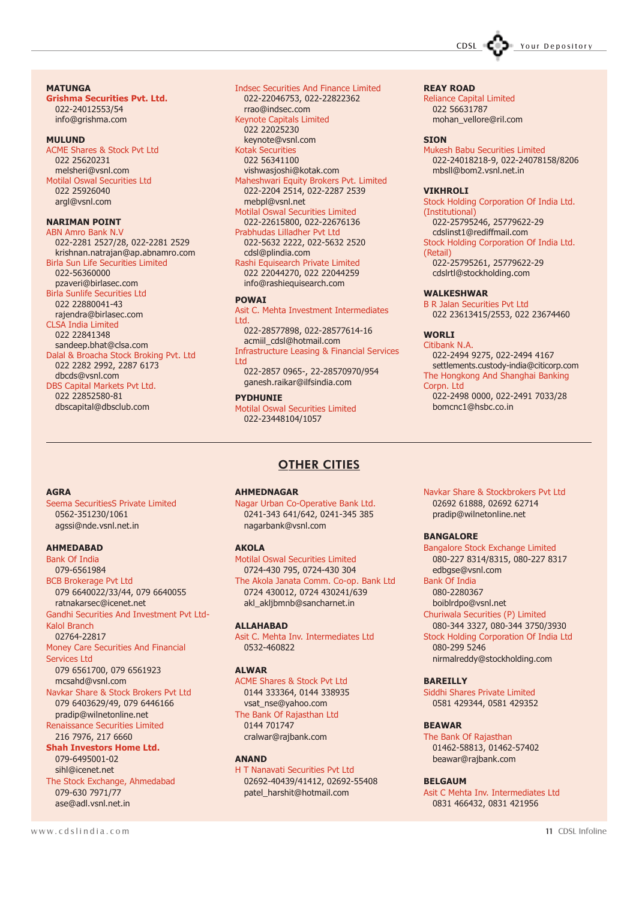#### **MATUNGA**

Grishma Securities Pvt. Ltd. 022-24012553/54 info@grishma.com

#### **MIII IIND**

ACME Shares & Stock Pvt Ltd 022 25620231 melsheri@vsnl.com Motilal Oswal Securities Ltd 022 25926040 argl@vsnl.com

#### NARIMAN POINT

ABN Amro Bank N.V 022-2281 2527/28, 022-2281 2529 krishnan.natrajan@ap.abnamro.com Birla Sun Life Securities Limited 022-56360000 pzaveri@birlasec.com Birla Sunlife Securities Ltd 022 22880041-43 rajendra@birlasec.com CLSA India Limited 022 22841348 sandeep.bhat@clsa.com Dalal & Broacha Stock Broking Pvt. Ltd 022 2282 2992, 2287 6173

dbcds@vsnl.com DBS Capital Markets Pvt Ltd. 022 22852580-81 dbscapital@dbsclub.com

Indsec Securities And Finance Limited 022-22046753, 022-22822362 rrao@indsec.com Keynote Capitals Limited 022 22025230 keynote@vsnl.com Kotak Securities 022 56341100 vishwasjoshi@kotak.com Maheshwari Equity Brokers Pvt. Limited 022-2204 2514, 022-2287 2539 mebpl@vsnl.net Motilal Oswal Securities Limited

022-22615800, 022-22676136 Prabhudas Lilladher Pvt Ltd 022-5632 2222, 022-5632 2520 cdsl@plindia.com

Rashi Equisearch Private Limited 022 22044270, 022 22044259 info@rashiequisearch.com

#### POWAI

Asit C. Mehta Investment Intermediates Ltd.

022-28577898, 022-28577614-16 acmiil\_cdsl@hotmail.com Infrastructure Leasing & Financial Services Ltd 022-2857 0965-, 22-28570970/954 ganesh.raikar@ilfsindia.com

**DYDHUNTE** 

Motilal Oswal Securities Limited 022-23448104/1057

#### REAY ROAD

Reliance Capital Limited 022 56631787 mohan\_vellore@ril.com

#### **STON**

Mukesh Babu Securities Limited 022-24018218-9, 022-24078158/8206 mbsll@bom2.vsnl.net.in

CDSL COD Your Depository

#### **VIKHROLI**

Stock Holding Corporation Of India Ltd. (Institutional) 022-25795246, 25779622-29 cdslinst1@rediffmail.com Stock Holding Corporation Of India Ltd. (Retail) 022-25795261, 25779622-29 cdslrtl@stockholding.com

#### WALKESHWAR

B R Jalan Securities Pvt Ltd 022 23613415/2553, 022 23674460

#### WORL<sub>I</sub>

Citibank N.A. 022-2494 9275, 022-2494 4167 settlements.custody-india@citicorp.com The Hongkong And Shanghai Banking Corpn. Ltd 022-2498 0000, 022-2491 7033/28

bomcnc1@hsbc.co.in

#### **AGRA**

Seema SecuritiesS Private Limited 0562-351230/1061 agssi@nde.vsnl.net.in

#### AHMEDABAD

Bank Of India 079-6561984 BCB Brokerage Pvt Ltd 079 6640022/33/44, 079 6640055 ratnakarsec@icenet.net Gandhi Securities And Investment Pvt Ltd-Kalol Branch 02764-22817 Money Care Securities And Financial Services Ltd 079 6561700, 079 6561923 mcsahd@vsnl.com Navkar Share & Stock Brokers Pvt Ltd 079 6403629/49, 079 6446166 pradip@wilnetonline.net Renaissance Securities Limited 216 7976, 217 6660 Shah Investors Home Ltd. 079-6495001-02 sihl@icenet.net The Stock Exchange, Ahmedabad 079-630 7971/77

AHMEDNAGAR

Nagar Urban Co-Operative Bank Ltd. 0241-343 641/642, 0241-345 385 nagarbank@vsnl.com

OTHER CITIES

#### AKOLA

Motilal Oswal Securities Limited 0724-430 795, 0724-430 304 The Akola Janata Comm. Co-op. Bank Ltd 0724 430012, 0724 430241/639 akl akljbmnb@sancharnet.in

#### ALLAHABAD

Asit C. Mehta Inv. Intermediates Ltd 0532-460822

#### ALWAR

ACME Shares & Stock Pvt Ltd 0144 333364, 0144 338935 vsat\_nse@yahoo.com The Bank Of Rajasthan Ltd 0144 701747 cralwar@rajbank.com

#### ANAND

H T Nanavati Securities Pvt Ltd 02692-40439/41412, 02692-55408 patel\_harshit@hotmail.com

Navkar Share & Stockbrokers Pvt Ltd 02692 61888, 02692 62714 pradip@wilnetonline.net

#### BANGALORE

Bangalore Stock Exchange Limited 080-227 8314/8315, 080-227 8317 edbgse@vsnl.com Bank Of India

080-2280367

boiblrdpo@vsnl.net Churiwala Securities (P) Limited

080-344 3327, 080-344 3750/3930

Stock Holding Corporation Of India Ltd 080-299 5246 nirmalreddy@stockholding.com

#### **BARETLIY**

Siddhi Shares Private Limited 0581 429344, 0581 429352

#### BEAWAR

The Bank Of Rajasthan 01462-58813, 01462-57402 beawar@rajbank.com

#### **BELGAUM**

Asit C Mehta Inv. Intermediates Ltd 0831 466432, 0831 421956

ase@adl.vsnl.net.in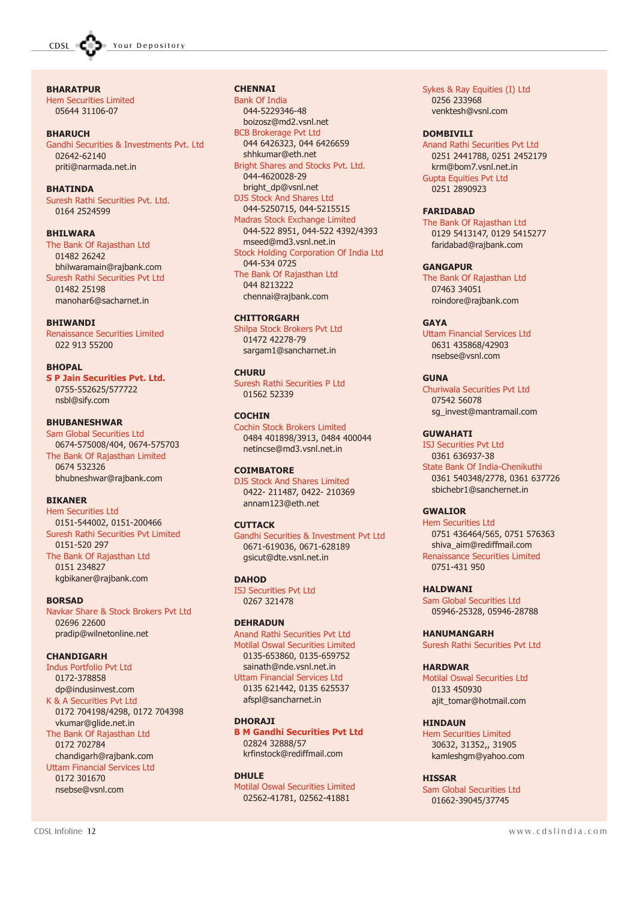**BHARATPUR** Hem Securities Limited 05644 31106-07

#### **BHARUCH**

Gandhi Securities & Investments Pvt. Ltd 02642-62140 priti@narmada.net.in

BHATINDA

Suresh Rathi Securities Pvt. Ltd. 0164 2524599

BHILWARA

The Bank Of Rajasthan Ltd 01482 26242 bhilwaramain@rajbank.com Suresh Rathi Securities Pvt Ltd 01482 25198 manohar6@sacharnet.in

#### BHIWANDI

Renaissance Securities Limited 022 913 55200

#### BHOPAL

S P Jain Securities Pvt. Ltd. 0755-552625/577722 nsbl@sify.com

#### BHUBANESHWAR

Sam Global Securities Ltd 0674-575008/404, 0674-575703 The Bank Of Rajasthan Limited 0674 532326 bhubneshwar@rajbank.com

#### BIKANER

Hem Securities Ltd 0151-544002, 0151-200466 Suresh Rathi Securities Pvt Limited 0151-520 297 The Bank Of Rajasthan Ltd 0151 234827

kgbikaner@rajbank.com

#### **BORSAD**

Navkar Share & Stock Brokers Pvt Ltd 02696 22600 pradip@wilnetonline.net

#### CHANDIGARH

Indus Portfolio Pvt Ltd 0172-378858 dp@indusinvest.com K & A Securities Pvt Ltd 0172 704198/4298, 0172 704398 vkumar@glide.net.in The Bank Of Rajasthan Ltd 0172 702784 chandigarh@rajbank.com Uttam Financial Services Ltd 0172 301670 nsebse@vsnl.com

#### **CHENNAI**

Bank Of India 044-5229346-48 boizosz@md2.vsnl.net BCB Brokerage Pvt Ltd 044 6426323, 044 6426659 shhkumar@eth.net Bright Shares and Stocks Pvt. Ltd. 044-4620028-29 bright\_dp@vsnl.net DJS Stock And Shares Ltd 044-5250715, 044-5215515 Madras Stock Exchange Limited 044-522 8951, 044-522 4392/4393 mseed@md3.vsnl.net.in Stock Holding Corporation Of India Ltd 044-534 0725 The Bank Of Rajasthan Ltd 044 8213222 chennai@rajbank.com

#### **CHITTORGARH**

Shilpa Stock Brokers Pvt Ltd 01472 42278-79 sargam1@sancharnet.in

#### **CHURU**

Suresh Rathi Securities P Ltd 01562 52339

#### **COCHIN**

Cochin Stock Brokers Limited 0484 401898/3913, 0484 400044 netincse@md3.vsnl.net.in

#### **COIMBATORE**

DJS Stock And Shares Limited 0422- 211487, 0422- 210369 annam123@eth.net

#### **CUTTACK**

Gandhi Securities & Investment Pvt Ltd 0671-619036, 0671-628189 gsicut@dte.vsnl.net.in

#### **DAHOD**

ISJ Securities Pvt Ltd 0267 321478

#### DEHRADUN

Anand Rathi Securities Pvt Ltd Motilal Oswal Securities Limited 0135-653860, 0135-659752 sainath@nde.vsnl.net.in Uttam Financial Services Ltd 0135 621442, 0135 625537 afspl@sancharnet.in

#### **DHORA1T**

B M Gandhi Securities Pvt Ltd 02824 32888/57 krfinstock@rediffmail.com

#### DHULE Motilal Oswal Securities Limited 02562-41781, 02562-41881

Sykes & Ray Equities (I) Ltd 0256 233968 venktesh@vsnl.com

#### DOMRTVTI T

Anand Rathi Securities Pvt Ltd 0251 2441788, 0251 2452179 krm@bom7.vsnl.net.in Gupta Equities Pvt Ltd 0251 2890923

#### FARIDABAD

The Bank Of Rajasthan Ltd 0129 5413147, 0129 5415277 faridabad@rajbank.com

#### **GANGAPUR**

The Bank Of Rajasthan Ltd 07463 34051 roindore@rajbank.com

#### **GAYA**

Uttam Financial Services Ltd 0631 435868/42903 nsebse@vsnl.com

#### **GUNA**

Churiwala Securities Pvt Ltd 07542 56078 sg\_invest@mantramail.com

#### **GUWAHATI**

ISJ Securities Pvt Ltd 0361 636937-38 State Bank Of India-Chenikuthi 0361 540348/2778, 0361 637726 sbichebr1@sanchernet.in

#### GWALIOR

Hem Securities Ltd 0751 436464/565, 0751 576363 shiva\_aim@rediffmail.com Renaissance Securities Limited 0751-431 950

#### HALDWANI

Sam Global Securities Ltd 05946-25328, 05946-28788

#### HANUMANGARH

Suresh Rathi Securities Pvt Ltd

#### **HARDWAR**

Motilal Oswal Securities Ltd 0133 450930 ajit\_tomar@hotmail.com

#### HINDAUN

Hem Securities Limited 30632, 31352,, 31905 kamleshgm@yahoo.com

#### HISSAR

Sam Global Securities Ltd 01662-39045/37745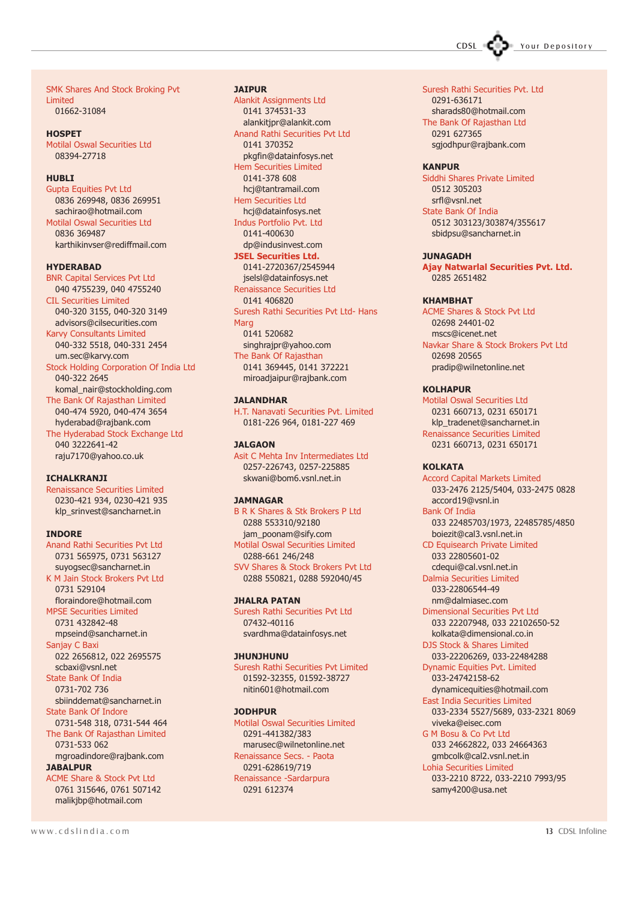CDSL COD Your Depository

SMK Shares And Stock Broking Pvt Limited 01662-31084

**HOSPET** Motilal Oswal Securities Ltd 08394-27718

#### **HUBLI**

Gupta Equities Pvt Ltd 0836 269948, 0836 269951 sachirao@hotmail.com Motilal Oswal Securities Ltd 0836 369487 karthikinvser@rediffmail.com

#### HYDERABAD

BNR Capital Services Pvt Ltd 040 4755239, 040 4755240 CIL Securities Limited 040-320 3155, 040-320 3149 advisors@cilsecurities.com Karvy Consultants Limited 040-332 5518, 040-331 2454 um.sec@karvy.com Stock Holding Corporation Of India Ltd 040-322 2645 komal\_nair@stockholding.com The Bank Of Rajasthan Limited 040-474 5920, 040-474 3654 hyderabad@rajbank.com The Hyderabad Stock Exchange Ltd 040 3222641-42 raju7170@yahoo.co.uk

#### **ICHALKRANJI**

Renaissance Securities Limited 0230-421 934, 0230-421 935 klp\_srinvest@sancharnet.in

#### INDORE

Anand Rathi Securities Pvt Ltd 0731 565975, 0731 563127 suyogsec@sancharnet.in K M Jain Stock Brokers Pvt Ltd 0731 529104 floraindore@hotmail.com MPSE Securities Limited 0731 432842-48 mpseind@sancharnet.in Sanjay C Baxi 022 2656812, 022 2695575 scbaxi@vsnl.net State Bank Of India 0731-702 736 sbiinddemat@sancharnet.in State Bank Of Indore 0731-548 318, 0731-544 464 The Bank Of Rajasthan Limited 0731-533 062 mgroadindore@rajbank.com **JABALPUR** ACME Share & Stock Pvt Ltd 0761 315646, 0761 507142

#### **JATPUR**

Alankit Assignments Ltd 0141 374531-33 alankitjpr@alankit.com Anand Rathi Securities Pvt Ltd 0141 370352 pkgfin@datainfosys.net Hem Securities Limited 0141-378 608 hcj@tantramail.com Hem Securities Ltd hcj@datainfosys.net Indus Portfolio Pvt. Ltd 0141-400630 dp@indusinvest.com JSEL Securities Ltd. 0141-2720367/2545944 jselsl@datainfosys.net Renaissance Securities Ltd 0141 406820 Suresh Rathi Securities Pvt Ltd- Hans Marg 0141 520682 singhrajpr@yahoo.com The Bank Of Rajasthan 0141 369445, 0141 372221 miroadjaipur@rajbank.com

#### **JALANDHAR**

H.T. Nanavati Securities Pvt. Limited 0181-226 964, 0181-227 469

#### **JALGAON**

Asit C Mehta Inv Intermediates Ltd 0257-226743, 0257-225885 skwani@bom6.vsnl.net.in

#### JAMNAGAR

B R K Shares & Stk Brokers P Ltd 0288 553310/92180 jam\_poonam@sify.com Motilal Oswal Securities Limited 0288-661 246/248 SVV Shares & Stock Brokers Pvt Ltd 0288 550821, 0288 592040/45

#### JHALRA PATAN

Suresh Rathi Securities Pvt Ltd 07432-40116 svardhma@datainfosys.net

#### JHUNJHUNU

Suresh Rathi Securities Pvt Limited 01592-32355, 01592-38727 nitin601@hotmail.com

#### JODHPUR

Motilal Oswal Securities Limited 0291-441382/383 marusec@wilnetonline.net Renaissance Secs. - Paota 0291-628619/719 Renaissance -Sardarpura 0291 612374

The Bank Of Rajasthan Ltd 0291 627365 sgjodhpur@rajbank.com

0291-636171

Suresh Rathi Securities Pvt. Ltd

#### **KANPUR**

Siddhi Shares Private Limited 0512 305203 srfl@vsnl.net State Bank Of India 0512 303123/303874/355617 sbidpsu@sancharnet.in

#### JUNAGADH

Ajay Natwarlal Securities Pvt. Ltd. 0285 2651482

#### KHAMBHAT

ACME Shares & Stock Pvt Ltd 02698 24401-02 mscs@icenet.net Navkar Share & Stock Brokers Pvt Ltd 02698 20565 pradip@wilnetonline.net

#### **KOLHAPUR**

Motilal Oswal Securities Ltd 0231 660713, 0231 650171 klp\_tradenet@sancharnet.in Renaissance Securities Limited 0231 660713, 0231 650171

#### KOI KATA

Accord Capital Markets Limited 033-2476 2125/5404, 033-2475 0828 accord19@vsnl.in Bank Of India 033 22485703/1973, 22485785/4850 boiezit@cal3.vsnl.net.in CD Equisearch Private Limited 033 22805601-02 cdequi@cal.vsnl.net.in Dalmia Securities Limited 033-22806544-49 nm@dalmiasec.com Dimensional Securities Pvt Ltd 033 22207948, 033 22102650-52 kolkata@dimensional.co.in DJS Stock & Shares Limited 033-22206269, 033-22484288 Dynamic Equities Pvt. Limited 033-24742158-62 dynamicequities@hotmail.com East India Securities Limited 033-2334 5527/5689, 033-2321 8069 viveka@eisec.com G M Bosu & Co Pvt Ltd 033 24662822, 033 24664363 gmbcolk@cal2.vsnl.net.in Lohia Securities Limited 033-2210 8722, 033-2210 7993/95

samy4200@usa.net

malikjbp@hotmail.com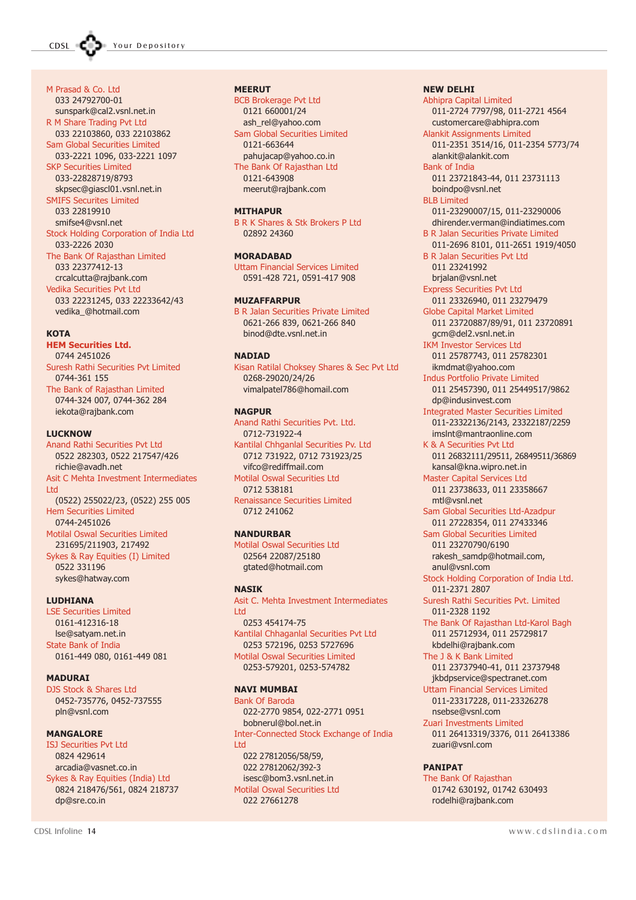M Prasad & Co. Ltd

#### 033 24792700-01 sunspark@cal2.vsnl.net.in R M Share Trading Pvt Ltd 033 22103860, 033 22103862 Sam Global Securities Limited 033-2221 1096, 033-2221 1097 SKP Securities Limited 033-22828719/8793 skpsec@giascl01.vsnl.net.in SMIFS Securites Limited 033 22819910 smifse4@vsnl.net Stock Holding Corporation of India Ltd 033-2226 2030 The Bank Of Rajasthan Limited 033 22377412-13 crcalcutta@rajbank.com Vedika Securities Pvt Ltd 033 22231245, 033 22233642/43 vedika\_@hotmail.com

#### **KOTA**

HEM Securities Ltd. 0744 2451026 Suresh Rathi Securities Pvt Limited 0744-361 155 The Bank of Rajasthan Limited 0744-324 007, 0744-362 284

iekota@rajbank.com

**LUCKNOW** 

Anand Rathi Securities Pvt Ltd 0522 282303, 0522 217547/426 richie@avadh.net Asit C Mehta Investment Intermediates Ltd (0522) 255022/23, (0522) 255 005 Hem Securities Limited 0744-2451026 Motilal Oswal Securities Limited 231695/211903, 217492 Sykes & Ray Equities (I) Limited 0522 331196 sykes@hatway.com

LUDHIANA

LSE Securities Limited 0161-412316-18 lse@satyam.net.in State Bank of India 0161-449 080, 0161-449 081

MADURAI

DJS Stock & Shares Ltd 0452-735776, 0452-737555 pln@vsnl.com

#### **MANGALORE**

ISJ Securities Pvt Ltd 0824 429614 arcadia@vasnet.co.in Sykes & Ray Equities (India) Ltd 0824 218476/561, 0824 218737 dp@sre.co.in

#### MEERUT

BCB Brokerage Pvt Ltd 0121 660001/24 ash\_rel@yahoo.com Sam Global Securities Limited 0121-663644 pahujacap@yahoo.co.in The Bank Of Rajasthan Ltd 0121-643908 meerut@rajbank.com

#### MITHAPUR

B R K Shares & Stk Brokers P Ltd 02892 24360

#### MORADABAD

Uttam Financial Services Limited 0591-428 721, 0591-417 908

#### MUZAFFARPUR

B R Jalan Securities Private Limited 0621-266 839, 0621-266 840 binod@dte.vsnl.net.in

#### **NADIAD**

Kisan Ratilal Choksey Shares & Sec Pvt Ltd 0268-29020/24/26 vimalpatel786@homail.com

#### **NAGPUR**

Anand Rathi Securities Pvt. Ltd. 0712-731922-4 Kantilal Chhganlal Securities Pv. Ltd 0712 731922, 0712 731923/25 vifco@rediffmail.com Motilal Oswal Securities Ltd 0712 538181 Renaissance Securities Limited 0712 241062

#### NANDURBAR

Motilal Oswal Securities Ltd 02564 22087/25180 gtated@hotmail.com

#### **NASTK**

Asit C. Mehta Investment Intermediates Ltd 0253 454174-75 Kantilal Chhaganlal Securities Pvt Ltd 0253 572196, 0253 5727696 Motilal Oswal Securities Limited 0253-579201, 0253-574782

#### NAVI MUMBAI

Bank Of Baroda 022-2770 9854, 022-2771 0951 bobnerul@bol.net.in Inter-Connected Stock Exchange of India Ltd 022 27812056/58/59, 022 27812062/392-3 isesc@bom3.vsnl.net.in Motilal Oswal Securities Ltd 022 27661278

#### NEW DELHI

Abhipra Capital Limited 011-2724 7797/98, 011-2721 4564 customercare@abhipra.com Alankit Assignments Limited 011-2351 3514/16, 011-2354 5773/74 alankit@alankit.com Bank of India 011 23721843-44, 011 23731113 boindpo@vsnl.net BLB Limited 011-23290007/15, 011-23290006 dhirender.verman@indiatimes.com B R Jalan Securities Private Limited 011-2696 8101, 011-2651 1919/4050 B R Jalan Securities Pvt Ltd 011 23241992 brjalan@vsnl.net Express Securities Pvt Ltd 011 23326940, 011 23279479 Globe Capital Market Limited 011 23720887/89/91, 011 23720891 gcm@del2.vsnl.net.in IKM Investor Services Ltd 011 25787743, 011 25782301 ikmdmat@yahoo.com Indus Portfolio Private Limited 011 25457390, 011 25449517/9862 dp@indusinvest.com Integrated Master Securities Limited 011-23322136/2143, 23322187/2259 imslnt@mantraonline.com K & A Securities Pvt Ltd 011 26832111/29511, 26849511/36869 kansal@kna.wipro.net.in Master Capital Services Ltd 011 23738633, 011 23358667 mtl@vsnl.net Sam Global Securities Ltd-Azadpur 011 27228354, 011 27433346 Sam Global Securities Limited 011 23270790/6190 rakesh\_samdp@hotmail.com, anul@vsnl.com Stock Holding Corporation of India Ltd. 011-2371 2807 Suresh Rathi Securities Pvt. Limited 011-2328 1192 The Bank Of Rajasthan Ltd-Karol Bagh 011 25712934, 011 25729817 kbdelhi@rajbank.com The J & K Bank Limited 011 23737940-41, 011 23737948 jkbdpservice@spectranet.com Uttam Financial Services Limited 011-23317228, 011-23326278 nsebse@vsnl.com Zuari Investments Limited 011 26413319/3376, 011 26413386 zuari@vsnl.com **PANTPAT** The Bank Of Rajasthan

01742 630192, 01742 630493 rodelhi@rajbank.com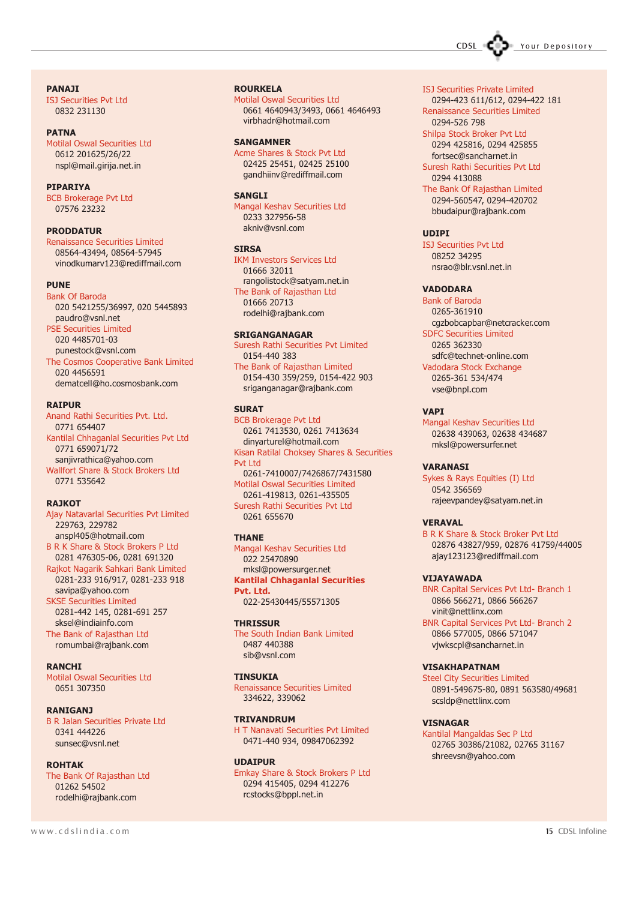CDSL COD Your Depository

#### PANAJI

ISJ Securities Pvt Ltd 0832 231130

#### PATNA

Motilal Oswal Securities Ltd 0612 201625/26/22 nspl@mail.girija.net.in

#### **PIPARIYA**

BCB Brokerage Pvt Ltd 07576 23232

#### PRODDATUR

Renaissance Securities Limited 08564-43494, 08564-57945 vinodkumarv123@rediffmail.com

#### PUNE

Bank Of Baroda 020 5421255/36997, 020 5445893 paudro@vsnl.net PSE Securities Limited 020 4485701-03 punestock@vsnl.com The Cosmos Cooperative Bank Limited

020 4456591 dematcell@ho.cosmosbank.com

#### RAIPUR

Anand Rathi Securities Pvt. Ltd. 0771 654407 Kantilal Chhaganlal Securities Pvt Ltd 0771 659071/72 sanjivrathica@yahoo.com Wallfort Share & Stock Brokers Ltd 0771 535642

#### **RAJKOT**

Ajay Natavarlal Securities Pvt Limited 229763, 229782 anspl405@hotmail.com B R K Share & Stock Brokers P Ltd 0281 476305-06, 0281 691320 Rajkot Nagarik Sahkari Bank Limited 0281-233 916/917, 0281-233 918 savipa@yahoo.com SKSE Securities Limited 0281-442 145, 0281-691 257 sksel@indiainfo.com

The Bank of Rajasthan Ltd romumbai@rajbank.com

#### **RANCHI**

Motilal Oswal Securities Ltd 0651 307350

#### RANIGANJ

B R Jalan Securities Private Ltd 0341 444226 sunsec@vsnl.net

#### ROHTAK

The Bank Of Rajasthan Ltd 01262 54502 rodelhi@rajbank.com

#### ROURKELA

Motilal Oswal Securities Ltd 0661 4640943/3493, 0661 4646493 virbhadr@hotmail.com

#### SANGAMNER

Acme Shares & Stock Pvt Ltd 02425 25451, 02425 25100 gandhiinv@rediffmail.com

#### SANGLI

Mangal Keshav Securities Ltd 0233 327956-58 akniv@vsnl.com

#### **SIRSA**

IKM Investors Services Ltd 01666 32011 rangolistock@satyam.net.in The Bank of Rajasthan Ltd 01666 20713 rodelhi@rajbank.com

#### SRIGANGANAGAR

Suresh Rathi Securities Pvt Limited 0154-440 383 The Bank of Rajasthan Limited

0154-430 359/259, 0154-422 903 sriganganagar@rajbank.com

#### **SURAT**

BCB Brokerage Pvt Ltd 0261 7413530, 0261 7413634 dinyarturel@hotmail.com Kisan Ratilal Choksey Shares & Securities Pvt Ltd 0261-7410007/7426867/7431580 Motilal Oswal Securities Limited 0261-419813, 0261-435505 Suresh Rathi Securities Pvt Ltd 0261 655670

#### THANE

Mangal Keshav Securities Ltd 022 25470890 mksl@powersurger.net Kantilal Chhaganlal Securities Pvt. Ltd. 022-25430445/55571305

#### **THRISSUR**

The South Indian Bank Limited 0487 440388 sib@vsnl.com

#### **TINSUKIA**

Renaissance Securities Limited 334622, 339062

#### TRIVANDRUM

H T Nanavati Securities Pvt Limited 0471-440 934, 09847062392

#### UDAIPUR

Emkay Share & Stock Brokers P Ltd 0294 415405, 0294 412276 rcstocks@bppl.net.in

- 0294-423 611/612, 0294-422 181 Renaissance Securities Limited 0294-526 798
- Shilpa Stock Broker Pvt Ltd 0294 425816, 0294 425855 fortsec@sancharnet.in
- Suresh Rathi Securities Pvt Ltd 0294 413088

The Bank Of Rajasthan Limited 0294-560547, 0294-420702 bbudaipur@rajbank.com

#### **UDIPI**

ISJ Securities Pvt Ltd 08252 34295 nsrao@blr.vsnl.net.in

#### VADODARA

Bank of Baroda 0265-361910 cgzbobcapbar@netcracker.com SDFC Securities Limited 0265 362330 sdfc@technet-online.com Vadodara Stock Exchange 0265-361 534/474 vse@bnpl.com

#### **VAPT**

Mangal Keshav Securities Ltd 02638 439063, 02638 434687 mksl@powersurfer.net

#### VARANASI

Sykes & Rays Equities (I) Ltd 0542 356569 rajeevpandey@satyam.net.in

#### **VERAVAL**

B R K Share & Stock Broker Pvt Ltd 02876 43827/959, 02876 41759/44005 ajay123123@rediffmail.com

#### VIJAYAWADA

BNR Capital Services Pvt Ltd- Branch 1 0866 566271, 0866 566267 vinit@nettlinx.com

BNR Capital Services Pvt Ltd- Branch 2 0866 577005, 0866 571047 vjwkscpl@sancharnet.in

#### VISAKHAPATNAM

Steel City Securities Limited 0891-549675-80, 0891 563580/49681 scsldp@nettlinx.com

#### VISNAGAR

Kantilal Mangaldas Sec P Ltd 02765 30386/21082, 02765 31167 shreevsn@yahoo.com